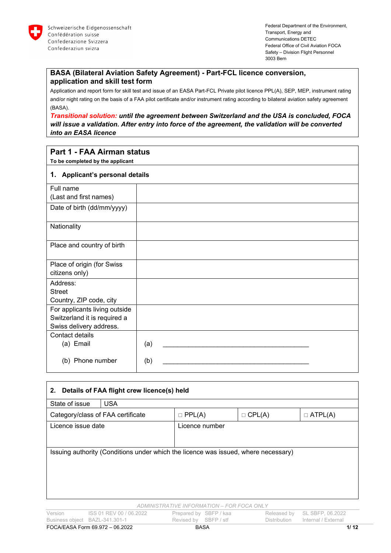

# **BASA (Bilateral Aviation Safety Agreement) - Part-FCL licence conversion, application and skill test form**

Application and report form for skill test and issue of an EASA Part-FCL Private pilot licence PPL(A), SEP, MEP, instrument rating and/or night rating on the basis of a FAA pilot certificate and/or instrument rating according to bilateral aviation safety agreement (BASA).

*Transitional solution: until the agreement between Switzerland and the USA is concluded, FOCA will issue a validation. After entry into force of the agreement, the validation will be converted into an EASA licence* 

# **Part 1 - FAA Airman status**

**To be completed by the applicant**

# **1. Applicant's personal details**

| <b>1. Applicatit</b> 5 personial details |     |
|------------------------------------------|-----|
| Full name                                |     |
| (Last and first names)                   |     |
| Date of birth (dd/mm/yyyy)               |     |
| Nationality                              |     |
| Place and country of birth               |     |
| Place of origin (for Swiss               |     |
| citizens only)                           |     |
| Address:                                 |     |
| <b>Street</b>                            |     |
| Country, ZIP code, city                  |     |
| For applicants living outside            |     |
| Switzerland it is required a             |     |
| Swiss delivery address.                  |     |
| Contact details                          |     |
| (a) Email                                | (a) |
| (b) Phone number                         | (b) |

| Details of FAA flight crew licence(s) held<br>2.                                   |                                   |                                            |                        |               |                     |  |
|------------------------------------------------------------------------------------|-----------------------------------|--------------------------------------------|------------------------|---------------|---------------------|--|
| State of issue                                                                     | <b>USA</b>                        |                                            |                        |               |                     |  |
|                                                                                    | Category/class of FAA certificate | $\Box$ PPL(A)                              |                        | $\Box$ CPL(A) | $\Box$ ATPL(A)      |  |
| Licence issue date                                                                 |                                   |                                            | Licence number         |               |                     |  |
|                                                                                    |                                   |                                            |                        |               |                     |  |
| Issuing authority (Conditions under which the licence was issued, where necessary) |                                   |                                            |                        |               |                     |  |
|                                                                                    |                                   | ADMINISTRATIVE INFORMATION - FOR FOCA ONLY |                        |               |                     |  |
| Version                                                                            | ISS 01 REV 00 / 06.2022           |                                            | Prepared by SBFP / kaa | Released by   | SL SBFP, 06.2022    |  |
|                                                                                    | Business object BAZL-341.301-1    | Revised by SBFP / stf                      |                        | Distribution  | Internal / External |  |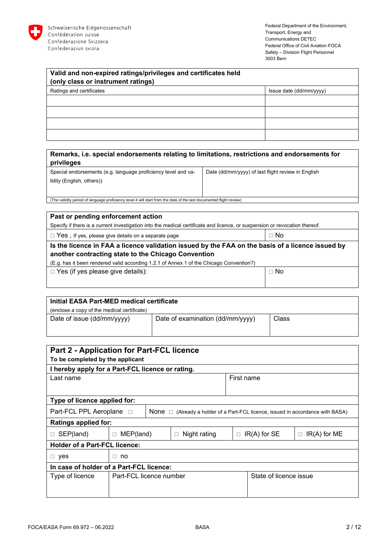

| Valid and non-expired ratings/privileges and certificates held |                         |  |  |  |
|----------------------------------------------------------------|-------------------------|--|--|--|
| (only class or instrument ratings)                             |                         |  |  |  |
| Ratings and certificates                                       | Issue date (dd/mm/yyyy) |  |  |  |
|                                                                |                         |  |  |  |
|                                                                |                         |  |  |  |
|                                                                |                         |  |  |  |
|                                                                |                         |  |  |  |

# **Remarks, i.e. special endorsements relating to limitations, restrictions and endorsements for privileges**

Special endorsements (e.g. language proficiency level and validity (English, others)) Date (dd/mm/yyyy) of last flight review in English

(The validity period of language proficiency level 4 will start from the date of the last documented flight review)

| Past or pending enforcement action                                                                                         |  |  |  |  |
|----------------------------------------------------------------------------------------------------------------------------|--|--|--|--|
| Specify if there is a current investigation into the medical certificate and licence, or suspension or revocation thereof. |  |  |  |  |
| $\Box$ No<br>$\Box$ Yes, If yes, please give details on a separate page                                                    |  |  |  |  |
| Is the licence in FAA a licence validation issued by the FAA on the basis of a licence issued by                           |  |  |  |  |
| another contracting state to the Chicago Convention                                                                        |  |  |  |  |
| (E.g. has it been rendered valid according 1.2.1 of Annex 1 of the Chicago Convention?)                                    |  |  |  |  |
| $\Box$ Yes (if yes please give details):<br>$\sqcap$ No                                                                    |  |  |  |  |
|                                                                                                                            |  |  |  |  |
|                                                                                                                            |  |  |  |  |

| Initial EASA Part-MED medical certificate                                      |  |  |  |  |
|--------------------------------------------------------------------------------|--|--|--|--|
| (enclose a copy of the medical certificate)                                    |  |  |  |  |
| Date of examination (dd/mm/yyyy)<br>Date of issue (dd/mm/yyyy)<br><b>Class</b> |  |  |  |  |

| <b>Part 2 - Application for Part-FCL licence</b> |                  |                         |                        |            |                        |                                                                                             |
|--------------------------------------------------|------------------|-------------------------|------------------------|------------|------------------------|---------------------------------------------------------------------------------------------|
| To be completed by the applicant                 |                  |                         |                        |            |                        |                                                                                             |
| I hereby apply for a Part-FCL licence or rating. |                  |                         |                        |            |                        |                                                                                             |
| Last name                                        |                  |                         |                        | First name |                        |                                                                                             |
|                                                  |                  |                         |                        |            |                        |                                                                                             |
| Type of licence applied for:                     |                  |                         |                        |            |                        |                                                                                             |
| Part-FCL PPL Aeroplane □                         |                  |                         |                        |            |                        | <b>None</b> $\Box$ (Already a holder of a Part-FCL licence, issued in accordance with BASA) |
| <b>Ratings applied for:</b>                      |                  |                         |                        |            |                        |                                                                                             |
| $\Box$ SEP(land)                                 | $\Box$ MEP(land) |                         | Night rating<br>$\Box$ |            | $\Box$ IR(A) for SE    | $IR(A)$ for ME<br>$\Box$                                                                    |
| <b>Holder of a Part-FCL licence:</b>             |                  |                         |                        |            |                        |                                                                                             |
| $\Box$ yes                                       | $\Box$ no        |                         |                        |            |                        |                                                                                             |
| In case of holder of a Part-FCL licence:         |                  |                         |                        |            |                        |                                                                                             |
| Type of licence                                  |                  | Part-FCL licence number |                        |            | State of licence issue |                                                                                             |
|                                                  |                  |                         |                        |            |                        |                                                                                             |
|                                                  |                  |                         |                        |            |                        |                                                                                             |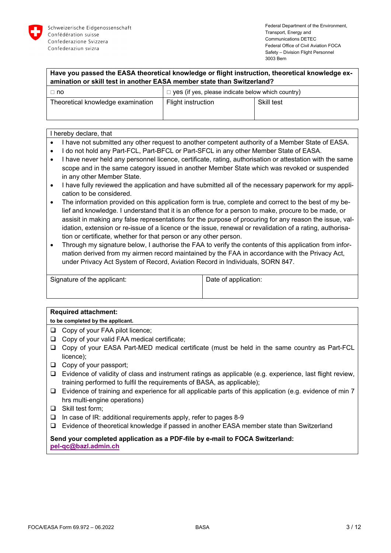

| Have you passed the EASA theoretical knowledge or flight instruction, theoretical knowledge ex- |
|-------------------------------------------------------------------------------------------------|
| amination or skill test in another EASA member state than Switzerland?                          |

| .⊓ no                             | $\Box$ yes (if yes, please indicate below which country) |            |
|-----------------------------------|----------------------------------------------------------|------------|
| Theoretical knowledge examination | Flight instruction                                       | Skill test |
|                                   |                                                          |            |

### I hereby declare, that

- I have not submitted any other request to another competent authority of a Member State of EASA.
- I do not hold any Part-FCL, Part-BFCL or Part-SFCL in any other Member State of EASA.
- I have never held any personnel licence, certificate, rating, authorisation or attestation with the same scope and in the same category issued in another Member State which was revoked or suspended in any other Member State.
- I have fully reviewed the application and have submitted all of the necessary paperwork for my application to be considered.
- The information provided on this application form is true, complete and correct to the best of my belief and knowledge. I understand that it is an offence for a person to make, procure to be made, or assisit in making any false representations for the purpose of procuring for any reason the issue, validation, extension or re-issue of a licence or the issue, renewal or revalidation of a rating, authorisation or certificate, whether for that person or any other person.
- Through my signature below, I authorise the FAA to verify the contents of this application from information derived from my airmen record maintained by the FAA in accordance with the Privacy Act, under Privacy Act System of Record, Aviation Record in Individuals, SORN 847.

| Signature of the applicant: | Date of application: |
|-----------------------------|----------------------|
|                             |                      |

# **Required attachment:**

**to be completed by the applicant.**

- □ Copy of your FAA pilot licence;
- □ Copy of your valid FAA medical certificate:
- Copy of your EASA Part-MED medical certificate (must be held in the same country as Part-FCL licence);
- $\Box$  Copy of your passport;
- $\Box$  Evidence of validity of class and instrument ratings as applicable (e.g. experience, last flight review, training performed to fulfil the requirements of BASA, as applicable);
- $\Box$  Evidence of training and experience for all applicable parts of this application (e.g. evidence of min 7 hrs multi-engine operations)
- $\Box$  Skill test form;
- $\Box$  In case of IR: additional requirements apply, refer to pages 8-9
- Evidence of theoretical knowledge if passed in another EASA member state than Switzerland

# **Send your completed application as a PDF-file by e-mail to FOCA Switzerland: pel-qc@bazl.admin.ch**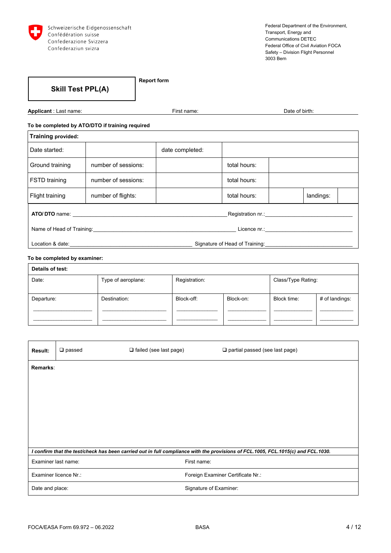

**Skill Test PPL(A)** 

**Report form** 

**Applicant** : Last name: **First name:** First name: Date of birth:

**To be completed by ATO/DTO if training required** 

| <b>Training provided:</b> |                                                                               |                 |              |  |           |  |
|---------------------------|-------------------------------------------------------------------------------|-----------------|--------------|--|-----------|--|
| Date started:             |                                                                               | date completed: |              |  |           |  |
| Ground training           | number of sessions:                                                           |                 | total hours: |  |           |  |
| <b>FSTD</b> training      | number of sessions:                                                           |                 | total hours: |  |           |  |
| Flight training           | number of flights:                                                            |                 | total hours: |  | landings: |  |
|                           |                                                                               |                 |              |  |           |  |
|                           |                                                                               |                 |              |  |           |  |
|                           | Location & date: <u>___________________</u><br>Signature of Head of Training: |                 |              |  |           |  |

#### **To be completed by examiner:**

| Details of test: |                    |               |           |                    |                |  |
|------------------|--------------------|---------------|-----------|--------------------|----------------|--|
| Date:            | Type of aeroplane: | Registration: |           | Class/Type Rating: |                |  |
|                  |                    |               |           |                    |                |  |
| Departure:       | Destination:       | Block-off:    | Block-on: | Block time:        | # of landings: |  |
|                  |                    |               |           |                    |                |  |
|                  |                    |               |           |                    |                |  |

| Result:             | $\square$ passed      | $\Box$ failed (see last page) | $\Box$ partial passed (see last page)                                                                                            |
|---------------------|-----------------------|-------------------------------|----------------------------------------------------------------------------------------------------------------------------------|
| Remarks:            |                       |                               |                                                                                                                                  |
|                     |                       |                               |                                                                                                                                  |
|                     |                       |                               |                                                                                                                                  |
|                     |                       |                               |                                                                                                                                  |
|                     |                       |                               |                                                                                                                                  |
|                     |                       |                               |                                                                                                                                  |
|                     |                       |                               | I confirm that the test/check has been carried out in full compliance with the provisions of FCL.1005, FCL.1015(c) and FCL.1030. |
| Examiner last name: |                       | First name:                   |                                                                                                                                  |
|                     | Examiner licence Nr.: |                               | Foreign Examiner Certificate Nr.:                                                                                                |
| Date and place:     |                       |                               | Signature of Examiner:                                                                                                           |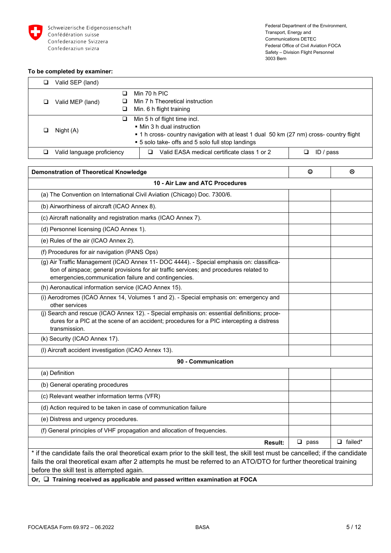

#### **To be completed by examiner:**

| ⊔                          | Valid SEP (land) |  |                                                                                          |           |  |
|----------------------------|------------------|--|------------------------------------------------------------------------------------------|-----------|--|
|                            |                  |  | Min 70 h PIC                                                                             |           |  |
|                            | Valid MEP (land) |  | Min 7 h Theoretical instruction                                                          |           |  |
|                            | ⊔                |  | Min. 6 h flight training                                                                 |           |  |
|                            | ⊔                |  | Min 5 h of flight time incl.                                                             |           |  |
|                            |                  |  | $\blacksquare$ Min 3 h dual instruction                                                  |           |  |
|                            | Night (A)        |  | • 1 h cross- country navigation with at least 1 dual 50 km (27 nm) cross- country flight |           |  |
|                            |                  |  | ■ 5 solo take- offs and 5 solo full stop landings                                        |           |  |
| Valid language proficiency |                  |  | Valid EASA medical certificate class 1 or 2                                              | ID / pass |  |

| <b>Demonstration of Theoretical Knowledge</b>                                                                                                                                                                                                                                                      | ☺           | ⊛              |  |  |  |
|----------------------------------------------------------------------------------------------------------------------------------------------------------------------------------------------------------------------------------------------------------------------------------------------------|-------------|----------------|--|--|--|
| 10 - Air Law and ATC Procedures<br>(a) The Convention on International Civil Aviation (Chicago) Doc. 7300/6.                                                                                                                                                                                       |             |                |  |  |  |
|                                                                                                                                                                                                                                                                                                    |             |                |  |  |  |
| (b) Airworthiness of aircraft (ICAO Annex 8).                                                                                                                                                                                                                                                      |             |                |  |  |  |
| (c) Aircraft nationality and registration marks (ICAO Annex 7).                                                                                                                                                                                                                                    |             |                |  |  |  |
| (d) Personnel licensing (ICAO Annex 1).                                                                                                                                                                                                                                                            |             |                |  |  |  |
| (e) Rules of the air (ICAO Annex 2).                                                                                                                                                                                                                                                               |             |                |  |  |  |
| (f) Procedures for air navigation (PANS Ops)                                                                                                                                                                                                                                                       |             |                |  |  |  |
| (g) Air Traffic Management (ICAO Annex 11- DOC 4444). - Special emphasis on: classifica-<br>tion of airspace; general provisions for air traffic services; and procedures related to<br>emergencies, communication failure and contingencies.                                                      |             |                |  |  |  |
| (h) Aeronautical information service (ICAO Annex 15).                                                                                                                                                                                                                                              |             |                |  |  |  |
| (i) Aerodromes (ICAO Annex 14, Volumes 1 and 2). - Special emphasis on: emergency and<br>other services                                                                                                                                                                                            |             |                |  |  |  |
| (j) Search and rescue (ICAO Annex 12). - Special emphasis on: essential definitions; proce-<br>dures for a PIC at the scene of an accident; procedures for a PIC intercepting a distress<br>transmission.                                                                                          |             |                |  |  |  |
| (k) Security (ICAO Annex 17).                                                                                                                                                                                                                                                                      |             |                |  |  |  |
| (I) Aircraft accident investigation (ICAO Annex 13).                                                                                                                                                                                                                                               |             |                |  |  |  |
| 90 - Communication                                                                                                                                                                                                                                                                                 |             |                |  |  |  |
| (a) Definition                                                                                                                                                                                                                                                                                     |             |                |  |  |  |
| (b) General operating procedures                                                                                                                                                                                                                                                                   |             |                |  |  |  |
| (c) Relevant weather information terms (VFR)                                                                                                                                                                                                                                                       |             |                |  |  |  |
| (d) Action required to be taken in case of communication failure                                                                                                                                                                                                                                   |             |                |  |  |  |
| (e) Distress and urgency procedures.                                                                                                                                                                                                                                                               |             |                |  |  |  |
| (f) General principles of VHF propagation and allocation of frequencies.                                                                                                                                                                                                                           |             |                |  |  |  |
| <b>Result:</b>                                                                                                                                                                                                                                                                                     | $\Box$ pass | $\Box$ failed* |  |  |  |
| * if the candidate fails the oral theoretical exam prior to the skill test, the skill test must be cancelled; if the candidate<br>fails the oral theoretical exam after 2 attempts he must be referred to an ATO/DTO for further theoretical training<br>before the skill test is attempted again. |             |                |  |  |  |
| Or, $\Box$ Training received as applicable and passed written examination at FOCA                                                                                                                                                                                                                  |             |                |  |  |  |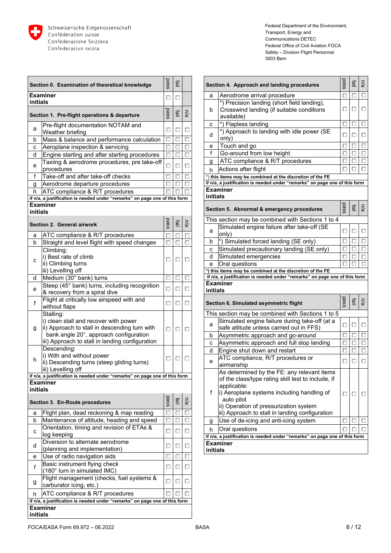

|                 | Section 0. Examination of theoretical knowledge                                                                                                                                                  | pass | 할 |     |
|-----------------|--------------------------------------------------------------------------------------------------------------------------------------------------------------------------------------------------|------|---|-----|
| initials        | Examiner                                                                                                                                                                                         | □    | □ |     |
|                 | Section 1. Pre-flight operations & departure                                                                                                                                                     | pass | 할 | n/a |
| а               | Pre-flight documentation NOTAM and<br>Weather briefing                                                                                                                                           | □    | □ | □   |
| b               | Mass & balance and performance calculation                                                                                                                                                       | □    | п | □   |
| С               | Aeroplane inspection & servicing                                                                                                                                                                 | n    |   | □   |
| d               | Engine starting and after starting procedures                                                                                                                                                    | п    |   | □   |
| е               | Taxiing & aerodrome procedures, pre take-off<br>procedures                                                                                                                                       | □    | п | п   |
| f               | Take-off and after take-off checks                                                                                                                                                               | п    | □ | □   |
| g               | Aerodrome departure procedures                                                                                                                                                                   | п    | п | □   |
| h               | ATC compliance & R/T procedures                                                                                                                                                                  |      |   |     |
|                 | if n/a, a justification is needed under "remarks" on page one of this form                                                                                                                       |      |   |     |
|                 | Examiner                                                                                                                                                                                         |      |   |     |
| initials        |                                                                                                                                                                                                  |      |   |     |
|                 | Section 2. General airwork                                                                                                                                                                       | pass | 亶 | n/a |
| a               | ATC compliance & R/T procedures                                                                                                                                                                  | □    |   | □   |
| b               | Straight and level flight with speed changes                                                                                                                                                     | п    | п | □   |
|                 | Climbing:                                                                                                                                                                                        |      |   |     |
| с               | i) Best rate of climb                                                                                                                                                                            | □    | □ | □   |
|                 | ii) Climbing turns                                                                                                                                                                               |      |   |     |
|                 | iii) Levelling off                                                                                                                                                                               |      |   |     |
| d               | Medium (30° bank) turns<br>Steep (45° bank) turns, including recognition                                                                                                                         | □    | П | □   |
| е               | & recovery from a spiral dive                                                                                                                                                                    | □    | □ | □   |
| f               | Flight at critically low airspeed with and<br>without flaps                                                                                                                                      | о    | □ | П   |
| g               | Stalling:<br>i) clean stall and recover with power<br>ii) Approach to stall in descending turn with<br>bank angle 20°, approach configuration<br>iii) Approach to stall in landing configuration | п    | □ | □   |
| h               | Descending:<br>i) With and without power<br>ii) Descending turns (steep gliding turns)<br>iii) Levelling off                                                                                     | □    | о |     |
|                 | if n/a, a justification is needed under "remarks" on page one of this form                                                                                                                       |      |   |     |
| <b>initials</b> | <b>Examiner</b>                                                                                                                                                                                  |      |   |     |
|                 | Section 3. En-Route procedures                                                                                                                                                                   | pass | 藍 | n/a |
| a               | Flight plan, dead reckoning & map reading                                                                                                                                                        |      | □ | □   |
| b               | Maintenance of altitude, heading and speed                                                                                                                                                       | п    | о | □   |
|                 | Orientation, timing and revision of ETAs &                                                                                                                                                       |      |   |     |
| с               | log keeping                                                                                                                                                                                      | П    | П | □   |
| d               | Diversion to alternate aerodrome<br>(planning and implementation)                                                                                                                                | п    | п | u   |
| е               | Use of radio navigation aids                                                                                                                                                                     | □    | □ | □   |
|                 | Basic instrument flying check                                                                                                                                                                    |      |   |     |
| f               | (180° turn in simulated IMC)                                                                                                                                                                     | □    | □ | □   |
| g               | Flight management (checks, fuel systems &<br>carburator icing, etc.)                                                                                                                             | □    | □ | □   |
| h               | ATC compliance & R/T procedures                                                                                                                                                                  |      |   |     |
|                 | if n/a, a justification is needed under "remarks" on page one of this form                                                                                                                       |      |   |     |
| initials        | <b>Examiner</b>                                                                                                                                                                                  |      |   |     |

|          | Section 4. Approach and landing procedures                                                                                                                                                                                                                                | pass | 亶 | n/a |
|----------|---------------------------------------------------------------------------------------------------------------------------------------------------------------------------------------------------------------------------------------------------------------------------|------|---|-----|
| a        | Aerodrome arrival procedure                                                                                                                                                                                                                                               | □    | □ | □   |
| b        | *) Precision landing (short field landing),<br>Crosswind landing (if suitable conditions<br>available)                                                                                                                                                                    | ш    | П | П   |
| с        | *) Flapless landing                                                                                                                                                                                                                                                       | п    | п | П   |
| d        | *) Approach to landing with idle power (SE<br>only)                                                                                                                                                                                                                       | п    | □ | □   |
| е        | Touch and go                                                                                                                                                                                                                                                              | п    | П | □   |
| f        | Go-around from low height                                                                                                                                                                                                                                                 |      |   | П   |
| g        | ATC compliance & R/T procedures                                                                                                                                                                                                                                           |      |   | п   |
| h        | Actions after flight                                                                                                                                                                                                                                                      |      |   | □   |
|          | *) this items may be combined at the discretion of the FE                                                                                                                                                                                                                 |      |   |     |
| initials | if n/a, a justification is needed under "remarks" on page one of this form<br><b>Examiner</b>                                                                                                                                                                             |      |   |     |
|          | Section 5. Abnormal & emergency procedures                                                                                                                                                                                                                                | pass | 亶 | n/a |
|          | This section may be combined with Sections 1 to 4                                                                                                                                                                                                                         |      |   |     |
| а        | Simulated engine failure after take-off (SE<br>only)                                                                                                                                                                                                                      | п    | □ | □   |
| b        | *) Simulated forced landing (SE only)                                                                                                                                                                                                                                     |      | п | □   |
| с        | Simulated precautionary landing (SE only)                                                                                                                                                                                                                                 |      | п | □   |
| d        | Simulated emergencies                                                                                                                                                                                                                                                     |      |   | □   |
| е        | Oral questions                                                                                                                                                                                                                                                            |      |   | п   |
|          | *) this items may be combined at the discretion of the FE<br>if n/a, a justification is needed under "remarks" on page one of this form                                                                                                                                   |      |   |     |
| initials | <b>Examiner</b>                                                                                                                                                                                                                                                           |      |   |     |
|          | Section 6. Simulated asymmetric flight                                                                                                                                                                                                                                    | pass | 亶 | n/a |
|          | This section may be combined with Sections 1 to 5                                                                                                                                                                                                                         |      |   |     |
| a        | Simulated engine failure during take-off (at a                                                                                                                                                                                                                            | п    | □ | □   |
|          | safe altitude unless carried out in FFS)                                                                                                                                                                                                                                  |      |   |     |
| b        | Asymmetric approach and go-around                                                                                                                                                                                                                                         | п    | п | □   |
| с        | Asymmetric approach and full stop landing                                                                                                                                                                                                                                 |      |   | □   |
| d        | Engine shut down and restart                                                                                                                                                                                                                                              | □    |   | □   |
| е        | ATC compliance, R/T procedures or<br>airmanship                                                                                                                                                                                                                           | □    | П | п   |
| f        | As determined by the FE: any relevant items<br>of the class/type rating skill test to include, if<br>applicable:<br>i) Aeroplane systems including handling of<br>auto pilot<br>ii) Operation of pressurization system<br>iii) Approach to stall in landing configuration | п    |   |     |
| g        | Use of de-icing and anti-icing system                                                                                                                                                                                                                                     |      |   |     |
| h        | Oral questions                                                                                                                                                                                                                                                            |      |   |     |
|          | if n/a, a justification is needed under "remarks" on page one of this form                                                                                                                                                                                                |      |   |     |
| initials | Examiner                                                                                                                                                                                                                                                                  |      |   |     |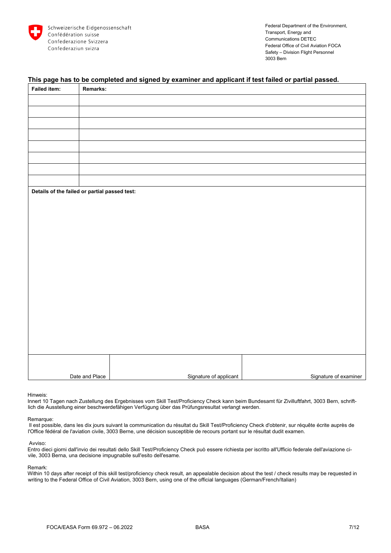

# **This page has to be completed and signed by examiner and applicant if test failed or partial passed.**

| <b>Failed item:</b>                           | Remarks:       |                        |                       |
|-----------------------------------------------|----------------|------------------------|-----------------------|
|                                               |                |                        |                       |
|                                               |                |                        |                       |
|                                               |                |                        |                       |
|                                               |                |                        |                       |
|                                               |                |                        |                       |
|                                               |                |                        |                       |
|                                               |                |                        |                       |
|                                               |                |                        |                       |
| Details of the failed or partial passed test: |                |                        |                       |
|                                               |                |                        |                       |
|                                               |                |                        |                       |
|                                               |                |                        |                       |
|                                               |                |                        |                       |
|                                               |                |                        |                       |
|                                               |                |                        |                       |
|                                               |                |                        |                       |
|                                               |                |                        |                       |
|                                               |                |                        |                       |
|                                               |                |                        |                       |
|                                               |                |                        |                       |
|                                               |                |                        |                       |
|                                               |                |                        |                       |
|                                               |                |                        |                       |
|                                               |                |                        |                       |
|                                               |                |                        |                       |
|                                               | Date and Place | Signature of applicant | Signature of examiner |

Hinweis:

Innert 10 Tagen nach Zustellung des Ergebnisses vom Skill Test/Proficiency Check kann beim Bundesamt für Zivilluftfahrt, 3003 Bern, schriftlich die Ausstellung einer beschwerdefähigen Verfügung über das Prüfungsresultat verlangt werden.

#### Remarque:

 Il est possible, dans les dix jours suivant la communication du résultat du Skill Test/Proficiency Check d'obtenir, sur réquête écrite auprès de l'Office fédéral de l'aviation civile, 3003 Berne, une décision susceptible de recours portant sur le résultat dudit examen.

#### Avviso:

Entro dieci giorni dall'invio dei resultati dello Skill Test/Proficiency Check può essere richiesta per iscritto all'Ufficio federale dell'aviazione civile, 3003 Berna, una decisione impugnabile sull'esito dell'esame.

#### Remark:

Within 10 days after receipt of this skill test/proficiency check result, an appealable decision about the test / check results may be requested in writing to the Federal Office of Civil Aviation, 3003 Bern, using one of the official languages (German/French/Italian)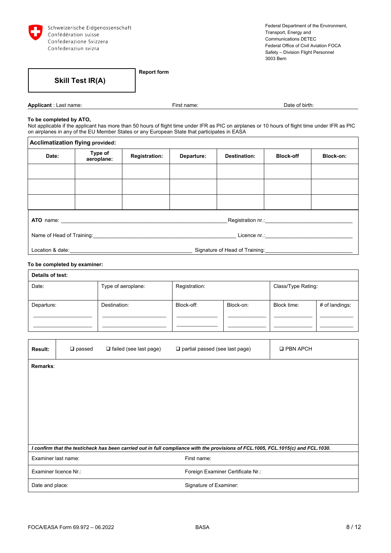

**Skill Test IR(A)** 

**Report form** 

**Applicant** : Last name: **Applicant** : Last name: **First name:** Pate of birth: Date of birth:

#### **To be completed by ATO,**

Not applicable if the applicant has more than 50 hours of flight time under IFR as PIC on airplanes or 10 hours of flight time under IFR as PIC on airplanes in any of the EU Member States or any European State that participates in EASA

| <b>Acclimatization flying provided:</b>             |                       |                      |            |                     |                  |           |
|-----------------------------------------------------|-----------------------|----------------------|------------|---------------------|------------------|-----------|
| Date:                                               | Type of<br>aeroplane: | <b>Registration:</b> | Departure: | <b>Destination:</b> | <b>Block-off</b> | Block-on: |
|                                                     |                       |                      |            |                     |                  |           |
|                                                     |                       |                      |            |                     |                  |           |
|                                                     |                       |                      |            |                     |                  |           |
|                                                     |                       |                      |            |                     |                  |           |
| Name of Head of Training: Name of Head of Training: |                       |                      |            |                     |                  |           |
|                                                     |                       |                      |            |                     |                  |           |

#### **To be completed by examiner:**

 $\mathsf{r}$ 

| Details of test:            |              |               |           |                    |                |  |  |
|-----------------------------|--------------|---------------|-----------|--------------------|----------------|--|--|
| Type of aeroplane:<br>Date: |              | Registration: |           | Class/Type Rating: |                |  |  |
|                             |              |               |           |                    |                |  |  |
| Departure:                  | Destination: | Block-off:    | Block-on: | Block time:        | # of landings: |  |  |
|                             |              |               |           |                    |                |  |  |
|                             |              |               |           |                    |                |  |  |

| <b>Result:</b>      | $\square$ passed      | $\Box$ failed (see last page) | $\Box$ partial passed (see last page)                                                                                            | <b>Q PBN APCH</b> |
|---------------------|-----------------------|-------------------------------|----------------------------------------------------------------------------------------------------------------------------------|-------------------|
| Remarks:            |                       |                               |                                                                                                                                  |                   |
|                     |                       |                               |                                                                                                                                  |                   |
|                     |                       |                               |                                                                                                                                  |                   |
|                     |                       |                               |                                                                                                                                  |                   |
|                     |                       |                               |                                                                                                                                  |                   |
|                     |                       |                               |                                                                                                                                  |                   |
|                     |                       |                               | I confirm that the test/check has been carried out in full compliance with the provisions of FCL.1005, FCL.1015(c) and FCL.1030. |                   |
| Examiner last name: |                       |                               | First name:                                                                                                                      |                   |
|                     | Examiner licence Nr.: |                               | Foreign Examiner Certificate Nr.:                                                                                                |                   |
| Date and place:     |                       |                               | Signature of Examiner:                                                                                                           |                   |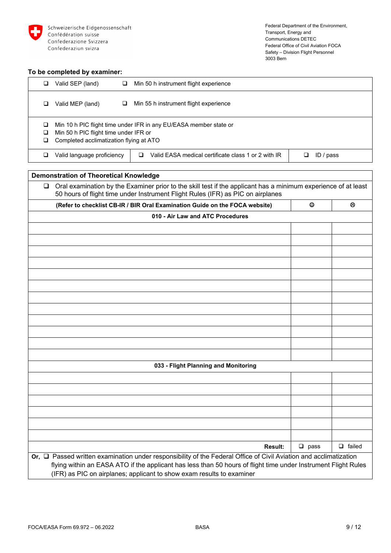

#### **To be completed by examiner:**

|        | Valid SEP (land)<br>⊔                                                            | Min 50 h instrument flight experience                             |           |
|--------|----------------------------------------------------------------------------------|-------------------------------------------------------------------|-----------|
|        | Valid MEP (land)<br>⊔                                                            | Min 55 h instrument flight experience                             |           |
| ⊔<br>⊔ | Min 50 h PIC flight time under IFR or<br>Completed acclimatization flying at ATO | Min 10 h PIC flight time under IFR in any EU/EASA member state or |           |
|        | Valid language proficiency                                                       | Valid EASA medical certificate class 1 or 2 with IR               | ID / pass |

# **Demonstration of Theoretical Knowledge**   $\Box$  Oral examination by the Examiner prior to the skill test if the applicant has a minimum experience of at least 50 hours of flight time under Instrument Flight Rules (IFR) as PIC on airplanes **(Refer to checklist CB-IR / BIR Oral Examination Guide on the FOCA website) 010 - Air Law and ATC Procedures 033 - Flight Planning and Monitoring Result:**  $\Box$  pass  $\Box$  failed **Or, □ Passed written examination under responsibility of the Federal Office of Civil Aviation and acclimatization** flying within an EASA ATO if the applicant has less than 50 hours of flight time under Instrument Flight Rules (IFR) as PIC on airplanes; applicant to show exam results to examiner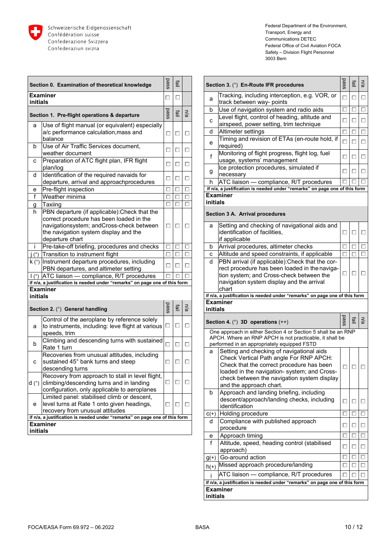

|                                 | Section 0. Examination of theoretical knowledge                                                                                                                                                   | pass   | 할 |     |
|---------------------------------|---------------------------------------------------------------------------------------------------------------------------------------------------------------------------------------------------|--------|---|-----|
| initials                        | <b>Examiner</b>                                                                                                                                                                                   | □      | □ |     |
|                                 | Section 1. Pre-flight operations & departure                                                                                                                                                      | pass   | 亶 | n/a |
| a                               | Use of flight manual (or equivalent) especially<br>a/c performance calculation, mass and<br>balance                                                                                               | □      | □ | □   |
| b                               | Use of Air Traffic Services document,<br>weather document                                                                                                                                         | □      | □ | □   |
| с                               | Preparation of ATC flight plan, IFR flight<br>plan/log                                                                                                                                            | □      | П | □   |
| d                               | Identification of the required navaids for<br>departure, arrival and approachprocedures                                                                                                           | □      | □ | □   |
| е                               | Pre-flight inspection                                                                                                                                                                             | □      | п | □   |
| f                               | Weather minima                                                                                                                                                                                    | □      | □ | □   |
| g                               | Taxiing                                                                                                                                                                                           | □      | □ | □   |
| h                               | PBN departure (if applicable): Check that the<br>correct procedure has been loaded in the<br>navigationsystem; andCross-check between<br>the navigation system display and the<br>departure chart | □      | □ | □   |
| i                               | Pre-take-off briefing, procedures and checks                                                                                                                                                      | □      | □ | □   |
| $\mathsf{i}(\mathsf{^{\circ}})$ | Transition to instrument flight                                                                                                                                                                   | п      | □ | □   |
|                                 | k (°) Instrument departure procedures, including<br>PBN departures, and altimeter setting                                                                                                         | □      | п | п   |
| $\mathsf{I}(\mathsf{e})$        | ATC liaison - compliance, R/T procedures                                                                                                                                                          |        |   |     |
|                                 | if n/a, a justification is needed under "remarks" on page one of this form                                                                                                                        |        |   |     |
| initials                        | Examiner                                                                                                                                                                                          |        |   |     |
|                                 | Section 2. (°) General handling                                                                                                                                                                   | pass   | 亶 | n/a |
| a                               | Control of the aeroplane by reference solely<br>to instruments, including: leve flight at various<br>speeds, trim                                                                                 | □      | п | □   |
| b                               | Climbing and descending turns with sustained<br>Rate 1 turn                                                                                                                                       | $\Box$ | п | □   |
| с                               | Recoveries from unusual attitudes, including<br>sustained 45° bank turns and steep<br>descending turns                                                                                            | □      | □ |     |
| $d'$ )                          | Recovery from approach to stall in level flight,<br>climbing/descending turns and in landing<br>configuration, only applicable to aeroplanes                                                      | □      | □ |     |
| е                               | Limited panel: stabilised climb or descent,<br>level turns at Rate 1 onto given headings,<br>recovery from unusual attitudes                                                                      | □      |   |     |
|                                 | if n/a, a justification is needed under "remarks" on page one of this form                                                                                                                        |        |   |     |
| initials                        | <b>Examiner</b>                                                                                                                                                                                   |        |   |     |

|          | Section 3. (°) En-Route IFR procedures                                                                                                                                                                                                                                                                    | pass | 할 | n/a |
|----------|-----------------------------------------------------------------------------------------------------------------------------------------------------------------------------------------------------------------------------------------------------------------------------------------------------------|------|---|-----|
| а        | Tracking, including interception, e.g. VOR, or<br>track between way- points                                                                                                                                                                                                                               | п    | □ | □   |
| b        | Use of navigation system and radio aids                                                                                                                                                                                                                                                                   |      |   | П   |
| с        | Level flight, control of heading, altitude and<br>airspeed, power setting, trim technique                                                                                                                                                                                                                 | п    | п | □   |
| d        | Altimeter settings                                                                                                                                                                                                                                                                                        | п    | п | □   |
| е        | Timing and revision of ETAs (en-route hold, if<br>required)                                                                                                                                                                                                                                               | □    | □ | □   |
| f        | Monitoring of flight progress, flight log, fuel<br>usage, systems' management                                                                                                                                                                                                                             | □    | □ | □   |
| g        | Ice protection procedures, simulated if<br>necessary                                                                                                                                                                                                                                                      | □    | □ | □   |
| h        | ATC liaison - compliance, R/T procedures                                                                                                                                                                                                                                                                  |      |   |     |
|          | if n/a, a justification is needed under "remarks" on page one of this form                                                                                                                                                                                                                                |      |   |     |
| initials | Examiner                                                                                                                                                                                                                                                                                                  |      |   |     |
|          |                                                                                                                                                                                                                                                                                                           |      |   |     |
|          | Section 3 A. Arrival procedures                                                                                                                                                                                                                                                                           |      |   |     |
| a        | Setting and checking of navigational aids and<br>identification of facilities,<br>if applicable                                                                                                                                                                                                           | □    | □ | □   |
| b        | Arrival procedures, altimeter checks                                                                                                                                                                                                                                                                      |      |   | п   |
| с        | Altitude and speed constraints, if applicable                                                                                                                                                                                                                                                             | п    | п | □   |
| d        | PBN arrival (if applicable): Check that the cor-<br>rect procedure has been loaded in the naviga-<br>tion system; and Cross-check between the<br>navigation system display and the arrival<br>chart                                                                                                       | □    | □ | □   |
|          |                                                                                                                                                                                                                                                                                                           |      |   |     |
|          | if n/a, a justification is needed under "remarks" on page one of this form                                                                                                                                                                                                                                |      |   |     |
|          | Examiner                                                                                                                                                                                                                                                                                                  |      |   |     |
| initials |                                                                                                                                                                                                                                                                                                           |      |   |     |
|          | Section 4. $(°)$ 3D operations $(++)$                                                                                                                                                                                                                                                                     | pass | 할 | n/a |
|          | One approach in either Section 4 or Section 5 shall be an RNP<br>APCH. Where an RNP APCH is not practicable, it shall be                                                                                                                                                                                  |      |   |     |
| a        | performed in an appropriately equipped FSTD<br>Setting and checking of navigational aids<br>Check Vertical Path angle For RNP APCH:<br>Check that the correct procedure has been<br>loaded in the navigation- system; and Cross<br>check between the navigation system display<br>and the approach chart. | □    |   |     |
| b        | Approach and landing briefing, including<br>descent/approach/landing checks, including<br>identification                                                                                                                                                                                                  | п    | ш | □   |
| $C(+)$   | Holding procedure                                                                                                                                                                                                                                                                                         | □    | □ | □   |
| d        | Compliance with published approach<br>procedure                                                                                                                                                                                                                                                           | □    | □ | □   |
| е        | Approach timing                                                                                                                                                                                                                                                                                           | п    | п | п   |
| f        | Altitude, speed, heading control (stabilised<br>approach)                                                                                                                                                                                                                                                 | □    | □ | □   |
| g(t)     | Go-around action                                                                                                                                                                                                                                                                                          |      |   | ⊏   |
| $h(+)$   | Missed approach procedure/landing                                                                                                                                                                                                                                                                         | □    | ш | □   |
|          | ATC liaison - compliance, R/T procedures                                                                                                                                                                                                                                                                  | п    |   | п   |
|          | if n/a, a justification is needed under "remarks" on page one of this form<br><b>Examiner</b>                                                                                                                                                                                                             |      |   |     |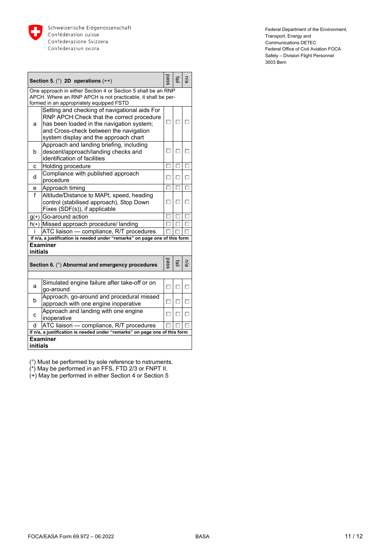

|          | Section 5. $(°)$ 2D operations $(++)$                                                                                                                                                                                       | pass | 희. | n/a |
|----------|-----------------------------------------------------------------------------------------------------------------------------------------------------------------------------------------------------------------------------|------|----|-----|
|          | One approach in either Section 4 or Section 5 shall be an RNP<br>APCH. Where an RNP APCH is not practicable, it shall be per-<br>formed in an appropriately equipped FSTD                                                   |      |    |     |
| a        | Setting and checking of navigational aids For<br>RNP APCH: Check that the correct procedure<br>has been loaded in the navigation system;<br>and Cross-check between the navigation<br>system display and the approach chart | п    | п  |     |
| b        | Approach and landing briefing, including<br>descent/approach/landing checks and<br>identification of facilities                                                                                                             | п    | п  |     |
| C        | Holding procedure                                                                                                                                                                                                           | п    | п  |     |
| d        | Compliance with published approach<br>procedure                                                                                                                                                                             | п    | п  |     |
| е        | Approach timing                                                                                                                                                                                                             | п    | П  |     |
| f        | Altitude/Distance to MAPt, speed, heading<br>control (stabilised approach), Stop Down<br>Fixes (SDF(s)), if applicable                                                                                                      | п    | п  |     |
|          | $g(*)$ Go-around action                                                                                                                                                                                                     | п    |    |     |
|          | h(+) Missed approach procedure/ landing                                                                                                                                                                                     | п    |    |     |
| i.       | ATC liaison - compliance, R/T procedures                                                                                                                                                                                    |      |    |     |
|          | if n/a, a justification is needed under "remarks" on page one of this form                                                                                                                                                  |      |    |     |
| initials | <b>Examiner</b>                                                                                                                                                                                                             |      |    |     |
|          | Section 6. (°) Abnormal and emergency procedures                                                                                                                                                                            | pass | 亶  | n/a |
|          |                                                                                                                                                                                                                             |      |    |     |
| a        | Simulated engine failure after take-off or on<br>go-around                                                                                                                                                                  | п    |    | п   |
| b        | Approach, go-around and procedural missed<br>approach with one engine inoperative                                                                                                                                           | п    | П  | П   |
| C        | Approach and landing with one engine<br>inoperative                                                                                                                                                                         | n    |    |     |
| d        | ATC liaison - compliance, R/T procedures                                                                                                                                                                                    |      |    |     |
|          | if n/a, a justification is needed under "remarks" on page one of this form                                                                                                                                                  |      |    |     |
| initials | <b>Examiner</b>                                                                                                                                                                                                             |      |    |     |

(°) Must be performed by sole reference to nstruments.

(\*) May be performed in an FFS, FTD 2/3 or FNPT II.

(+) May be performed in either Section 4 or Section 5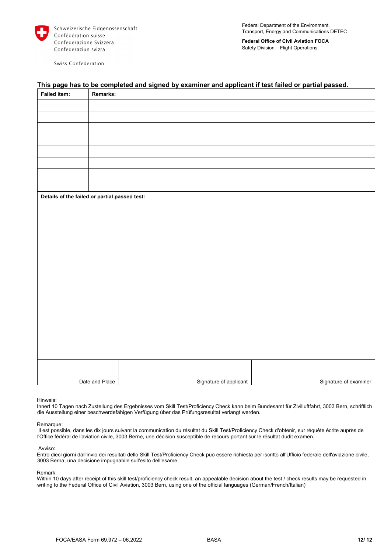

Swiss Confederation

**Federal Office of Civil Aviation FOCA**  Safety Division – Flight Operations

# **Failed item: Remarks: Details of the failed or partial passed test:**  Date and Place **Signature of applicant Accord Accord Signature of applicant Signature of examiner**

# **This page has to be completed and signed by examiner and applicant if test failed or partial passed.**

Hinweis:

Innert 10 Tagen nach Zustellung des Ergebnisses vom Skill Test/Proficiency Check kann beim Bundesamt für Zivilluftfahrt, 3003 Bern, schriftlich die Ausstellung einer beschwerdefähigen Verfügung über das Prüfungsresultat verlangt werden.

#### Remarque:

 Il est possible, dans les dix jours suivant la communication du résultat du Skill Test/Proficiency Check d'obtenir, sur réquête écrite auprès de l'Office fédéral de l'aviation civile, 3003 Berne, une décision susceptible de recours portant sur le résultat dudit examen.

#### Avviso:

Entro dieci giorni dall'invio dei resultati dello Skill Test/Proficiency Check può essere richiesta per iscritto all'Ufficio federale dell'aviazione civile, 3003 Berna, una decisione impugnabile sull'esito dell'esame.

#### Remark:

Within 10 days after receipt of this skill test/proficiency check result, an appealable decision about the test / check results may be requested in writing to the Federal Office of Civil Aviation, 3003 Bern, using one of the official languages (German/French/Italian)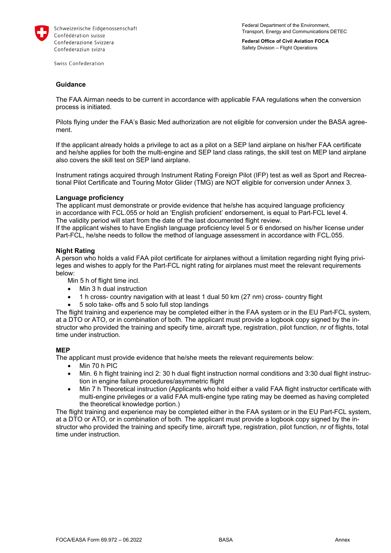

Federal Department of the Environment, Transport, Energy and Communications DETEC

**Federal Office of Civil Aviation FOCA**  Safety Division – Flight Operations

Swiss Confederation

#### **Guidance**

The FAA Airman needs to be current in accordance with applicable FAA regulations when the conversion process is initiated.

Pilots flying under the FAA's Basic Med authorization are not eligible for conversion under the BASA agreement.

If the applicant already holds a privilege to act as a pilot on a SEP land airplane on his/her FAA certificate and he/she applies for both the multi-engine and SEP land class ratings, the skill test on MEP land airplane also covers the skill test on SEP land airplane.

Instrument ratings acquired through Instrument Rating Foreign Pilot (IFP) test as well as Sport and Recreational Pilot Certificate and Touring Motor Glider (TMG) are NOT eligible for conversion under Annex 3.

#### **Language proficiency**

The applicant must demonstrate or provide evidence that he/she has acquired language proficiency in accordance with FCL.055 or hold an 'English proficient' endorsement, is equal to Part-FCL level 4. The validity period will start from the date of the last documented flight review.

If the applicant wishes to have English language proficiency level 5 or 6 endorsed on his/her license under Part-FCL, he/she needs to follow the method of language assessment in accordance with FCL.055.

#### **Night Rating**

A person who holds a valid FAA pilot certificate for airplanes without a limitation regarding night flying privileges and wishes to apply for the Part-FCL night rating for airplanes must meet the relevant requirements below:

Min 5 h of flight time incl.

- Min 3 h dual instruction
- 1 h cross- country navigation with at least 1 dual 50 km (27 nm) cross- country flight
- 5 solo take- offs and 5 solo full stop landings

The flight training and experience may be completed either in the FAA system or in the EU Part-FCL system, at a DTO or ATO, or in combination of both. The applicant must provide a logbook copy signed by the instructor who provided the training and specify time, aircraft type, registration, pilot function, nr of flights, total time under instruction.

#### **MEP**

The applicant must provide evidence that he/she meets the relevant requirements below:

- Min 70 h PIC
- Min. 6 h flight training incl 2: 30 h dual flight instruction normal conditions and 3:30 dual flight instruction in engine failure procedures/asymmetric flight
- Min 7 h Theoretical instruction (Applicants who hold either a valid FAA flight instructor certificate with multi-engine privileges or a valid FAA multi-engine type rating may be deemed as having completed the theoretical knowledge portion.)

The flight training and experience may be completed either in the FAA system or in the EU Part-FCL system, at a DTO or ATO, or in combination of both. The applicant must provide a logbook copy signed by the instructor who provided the training and specify time, aircraft type, registration, pilot function, nr of flights, total time under instruction.